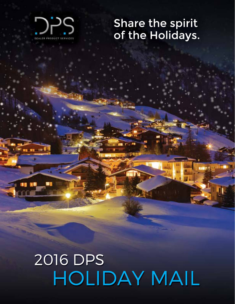

٠

# Share the spirit<br>of the Holidays.

## 2016 DPS HOLIDAY MAIL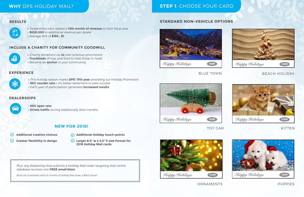#### **WHY** DPS HOLIDAY MAIL?

» Dealerships have added a **13th month of revenue** to their fiscal year » **\$650,000** in additional revenue per dealer » Average ROI of **\$184 : \$1**

- » This holiday season marks **DPS' 17th year** providing our Holiday Promotion
- » **99% reorder rate** no better testament to past success
- » Each year of participation generates **increased results**

» **99% open rate** 

» **Drives traffic** during traditionally slow months

- $\odot$ **Additional creative choices**
- $\odot$ **Greater flexibility in design**
- **Additional Holiday touch-points**
- $\circledcirc$ **Larger 8.5" w x 5.5" h size format for 2016 Holiday Mail cards**
- » Charity donations up **2x** over previous promotions
- » **Truckloads** of toys and food to help those in need
- » Become an **anchor** in your community

#### **RESULTS**



#### **EXPERIENCE**



#### **DEALERSHIPS**



#### **INCLUDE A CHARITY FOR COMMUNITY GOODWILL**



#### **NEW FOR 2016!**

Plus, any dealership that submits a Holiday Mail order targeting their entire database receives one **FREE email blast.**

(Must be completed within 6 months of Holiday Mail order, a \$600 Value!)

### **STEP 1**: CHOOSE YOUR CARD

#### **STANDARD NON-VEHICLE OPTIONS**





TOY CAR





#### KITTEN



#### BLUE TOWN BEACH HOLIDAY



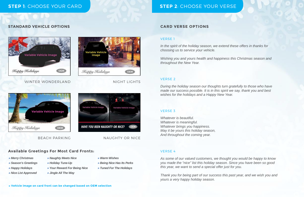#### **STEP 1**: CHOOSE YOUR CARD

#### **STANDARD VEHICLE OPTIONS**



#### WINTER WONDERLAND NIGHT LIGHTS







#### BEACH PARKING NAUGHTY OR NICE

#### **Available Greetings For Most Card Fronts:**

#### VERSE 1

*In the spirit of the holiday season, we extend these offers in thanks for choosing us to service your vehicle.*

*Wishing you and yours health and happiness this Christmas season and throughout the New Year.*

#### VERSE 2

*During the holiday season our thoughts turn gratefully to those who have made our success possible. It is in this spirit we say, thank you and best wishes for the holidays and a Happy New Year.*

#### **CARD VERSE OPTIONS**

#### VERSE 3

*Whatever is beautiful. Whatever is meaningful. Whatever brings you happiness. May it be yours this holiday season, And throughout the coming year.*

#### VERSE 4

*As some of our valued customers, we thought you would be happy to know you made the "nice" list this holiday season. Since you have been so good this year, we want to send a special offer just for you.*

*Thank you for being part of our success this past year, and we wish you and yours a very happy holiday season.*

#### **STEP 2**: CHOOSE YOUR VERSE

- *» Merry Christmas*
- *» Holiday Tune-Up » Season's Greetings*
- *» Happy Holidays*
- *» Nice List Approved*
- *» Naughty Meets Nice*
- *» Your Reward For Being Nice » Jingle All The Way*
- *» Warm Wishes*
- *» Being Nice Has Its Perks*
- *» Tuned For The Holidays*

**» Vehicle image on card front can be changed based on OEM selection**

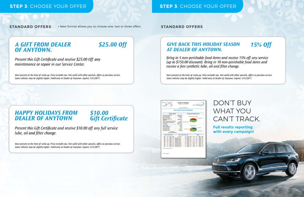#### **STEP 3**: CHOOSE YOUR OFFER **STEP 3**: CHOOSE YOUR OFFER

**STANDARD OFFERS** » New format allows you to choose one, two or three offers. **STANDARD OFFERS** 

\$25.00 Off

### **A GIFT FROM DEALER** OF ANYTOWN.

Present this Gift Certificate and receive \$25.00 Off any maintenance or repair in our Service Center.

Must present at the time of write-up. Price excludes tax. Not valid with other specials, offers or previous service. Some vehicles may be slightly higher. Valid only at Dealer of Anytown. Expires 1/31/2017.

#### **15% Off GIVE BACK THIS HOLIDAY SEASON** AT DEALER OF ANYTOWN.

Bring in 5 non-perishable food items and receive 15% off any service (up to \$150.00 discount). Bring in 10 non-perishable food items and receive a free synthetic lube, oil and filter change.

Must present at the time of write-up. Price excludes tax. Not valid with other specials, offers or previous service. Some vehicles may be slightly higher. Valid only at Dealer of Anytown. Expires 1/31/2017.

## **HAPPY HOLIDAYS FROM DEALER OF ANYTOWN**

## \$10.00<br>Gift Certificate

Present this Gift Certificate and receive \$10.00 off any full service lube, oil and filter change.

Must present at the time of write-up. Price excludes tax. Not valid with other specials, offers or previous service. Some vehicles may be slightly higher. Valid only at Dealer of Anytown. Expires 1/31/2017.





## DON'T BUY WHAT YOU CAN'T TRACK.

**Full results reporting with every campaign!**